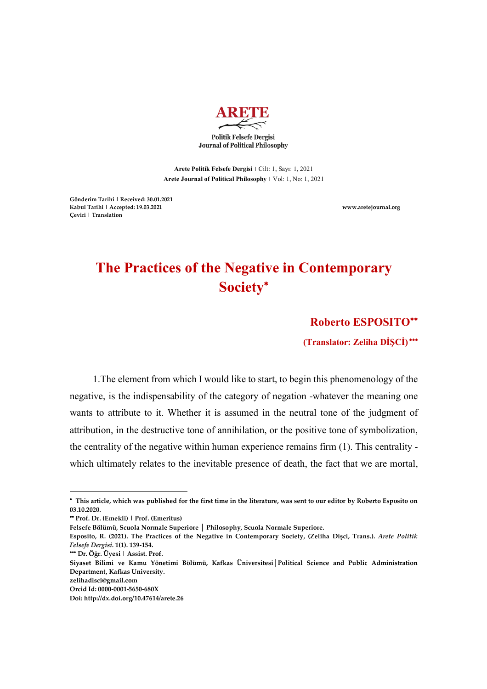

**Arete Politik Felsefe Dergisi |** Cilt: 1, Sayı: 1, 2021

**Arete Journal of Political Philosophy |** Vol: 1, No: 1, 2021

**Gönderim Tarihi | Received: 30.01.2021 Kabul Tarihi | Accepted: 19.03.2021 www.aretejournal.org Çeviri | Translation** 

## **The Practices of the Negative in Contemporary Society**\*

**Roberto ESPOSITO**\*\*

**(Translator: Zeliha DİŞCİ)** \*\*\*

1.The element from which I would like to start, to begin this phenomenology of the negative, is the indispensability of the category of negation -whatever the meaning one wants to attribute to it. Whether it is assumed in the neutral tone of the judgment of attribution, in the destructive tone of annihilation, or the positive tone of symbolization, the centrality of the negative within human experience remains firm (1). This centrality which ultimately relates to the inevitable presence of death, the fact that we are mortal,

 $\overline{\phantom{a}}$ 

<sup>\*</sup>  **This article, which was published for the first time in the literature, was sent to our editor by Roberto Esposito on 03.10.2020.** 

<sup>\*\*</sup> **Prof. Dr. (Emekli) | Prof. (Emeritus)**

**Felsefe Bölümü, Scuola Normale Superiore │ Philosophy, Scuola Normale Superiore.**

**Esposito, R. (2021). The Practices of the Negative in Contemporary Society, (Zeliha Dişci, Trans.).** *Arete Politik Felsefe Dergisi.* **1(1). 139-154.** 

<sup>\*\*\*</sup> **Dr. Öğr. Üyesi | Assist. Prof.**

**Siyaset Bilimi ve Kamu Yönetimi Bölümü, Kafkas Üniversitesi│Political Science and Public Administration Department, Kafkas University.**

**zelihadisci@gmail.com**

**Orcid Id: 0000-0001-5650-680X**

**Doi: http://dx.doi.org/10.47614/arete.26**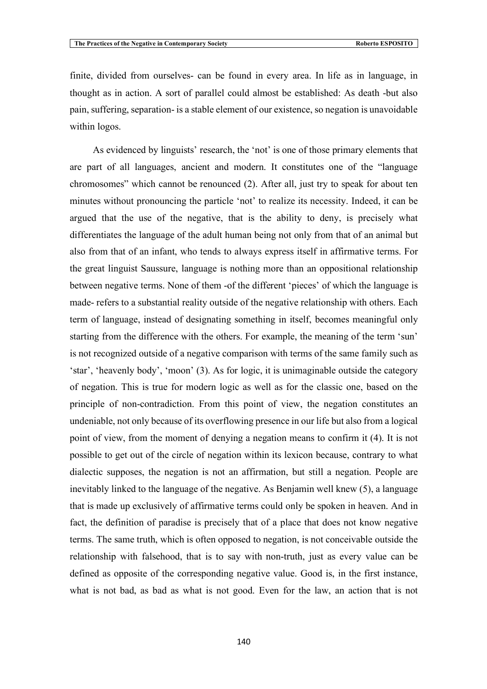finite, divided from ourselves- can be found in every area. In life as in language, in thought as in action. A sort of parallel could almost be established: As death -but also pain, suffering, separation- is a stable element of our existence, so negation is unavoidable within logos.

As evidenced by linguists' research, the 'not' is one of those primary elements that are part of all languages, ancient and modern. It constitutes one of the "language chromosomes" which cannot be renounced (2). After all, just try to speak for about ten minutes without pronouncing the particle 'not' to realize its necessity. Indeed, it can be argued that the use of the negative, that is the ability to deny, is precisely what differentiates the language of the adult human being not only from that of an animal but also from that of an infant, who tends to always express itself in affirmative terms. For the great linguist Saussure, language is nothing more than an oppositional relationship between negative terms. None of them -of the different 'pieces' of which the language is made- refers to a substantial reality outside of the negative relationship with others. Each term of language, instead of designating something in itself, becomes meaningful only starting from the difference with the others. For example, the meaning of the term 'sun' is not recognized outside of a negative comparison with terms of the same family such as 'star', 'heavenly body', 'moon' (3). As for logic, it is unimaginable outside the category of negation. This is true for modern logic as well as for the classic one, based on the principle of non-contradiction. From this point of view, the negation constitutes an undeniable, not only because of its overflowing presence in our life but also from a logical point of view, from the moment of denying a negation means to confirm it (4). It is not possible to get out of the circle of negation within its lexicon because, contrary to what dialectic supposes, the negation is not an affirmation, but still a negation. People are inevitably linked to the language of the negative. As Benjamin well knew (5), a language that is made up exclusively of affirmative terms could only be spoken in heaven. And in fact, the definition of paradise is precisely that of a place that does not know negative terms. The same truth, which is often opposed to negation, is not conceivable outside the relationship with falsehood, that is to say with non-truth, just as every value can be defined as opposite of the corresponding negative value. Good is, in the first instance, what is not bad, as bad as what is not good. Even for the law, an action that is not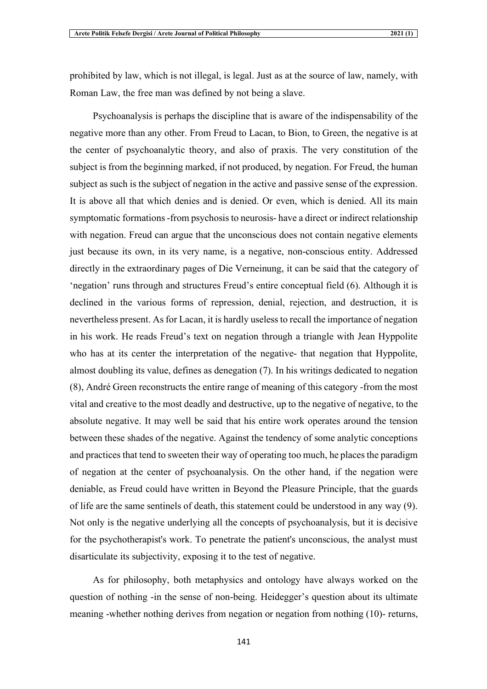prohibited by law, which is not illegal, is legal. Just as at the source of law, namely, with Roman Law, the free man was defined by not being a slave.

Psychoanalysis is perhaps the discipline that is aware of the indispensability of the negative more than any other. From Freud to Lacan, to Bion, to Green, the negative is at the center of psychoanalytic theory, and also of praxis. The very constitution of the subject is from the beginning marked, if not produced, by negation. For Freud, the human subject as such is the subject of negation in the active and passive sense of the expression. It is above all that which denies and is denied. Or even, which is denied. All its main symptomatic formations -from psychosis to neurosis- have a direct or indirect relationship with negation. Freud can argue that the unconscious does not contain negative elements just because its own, in its very name, is a negative, non-conscious entity. Addressed directly in the extraordinary pages of Die Verneinung, it can be said that the category of 'negation' runs through and structures Freud's entire conceptual field (6). Although it is declined in the various forms of repression, denial, rejection, and destruction, it is nevertheless present. As for Lacan, it is hardly useless to recall the importance of negation in his work. He reads Freud's text on negation through a triangle with Jean Hyppolite who has at its center the interpretation of the negative- that negation that Hyppolite, almost doubling its value, defines as denegation (7). In his writings dedicated to negation (8), André Green reconstructs the entire range of meaning of this category -from the most vital and creative to the most deadly and destructive, up to the negative of negative, to the absolute negative. It may well be said that his entire work operates around the tension between these shades of the negative. Against the tendency of some analytic conceptions and practices that tend to sweeten their way of operating too much, he places the paradigm of negation at the center of psychoanalysis. On the other hand, if the negation were deniable, as Freud could have written in Beyond the Pleasure Principle, that the guards of life are the same sentinels of death, this statement could be understood in any way (9). Not only is the negative underlying all the concepts of psychoanalysis, but it is decisive for the psychotherapist's work. To penetrate the patient's unconscious, the analyst must disarticulate its subjectivity, exposing it to the test of negative.

As for philosophy, both metaphysics and ontology have always worked on the question of nothing -in the sense of non-being. Heidegger's question about its ultimate meaning -whether nothing derives from negation or negation from nothing (10)- returns,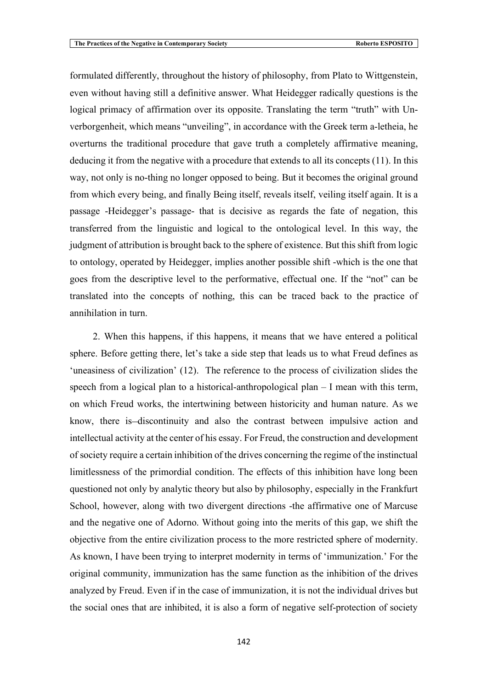formulated differently, throughout the history of philosophy, from Plato to Wittgenstein, even without having still a definitive answer. What Heidegger radically questions is the logical primacy of affirmation over its opposite. Translating the term "truth" with Unverborgenheit, which means "unveiling", in accordance with the Greek term a-letheia, he overturns the traditional procedure that gave truth a completely affirmative meaning, deducing it from the negative with a procedure that extends to all its concepts (11). In this way, not only is no-thing no longer opposed to being. But it becomes the original ground from which every being, and finally Being itself, reveals itself, veiling itself again. It is a passage -Heidegger's passage- that is decisive as regards the fate of negation, this transferred from the linguistic and logical to the ontological level. In this way, the judgment of attribution is brought back to the sphere of existence. But this shift from logic to ontology, operated by Heidegger, implies another possible shift -which is the one that goes from the descriptive level to the performative, effectual one. If the "not" can be translated into the concepts of nothing, this can be traced back to the practice of annihilation in turn.

2. When this happens, if this happens, it means that we have entered a political sphere. Before getting there, let's take a side step that leads us to what Freud defines as 'uneasiness of civilization' (12). The reference to the process of civilization slides the speech from a logical plan to a historical-anthropological plan – I mean with this term, on which Freud works, the intertwining between historicity and human nature. As we know, there is-discontinuity and also the contrast between impulsive action and intellectual activity at the center of his essay. For Freud, the construction and development of society require a certain inhibition of the drives concerning the regime of the instinctual limitlessness of the primordial condition. The effects of this inhibition have long been questioned not only by analytic theory but also by philosophy, especially in the Frankfurt School, however, along with two divergent directions -the affirmative one of Marcuse and the negative one of Adorno. Without going into the merits of this gap, we shift the objective from the entire civilization process to the more restricted sphere of modernity. As known, I have been trying to interpret modernity in terms of 'immunization.' For the original community, immunization has the same function as the inhibition of the drives analyzed by Freud. Even if in the case of immunization, it is not the individual drives but the social ones that are inhibited, it is also a form of negative self-protection of society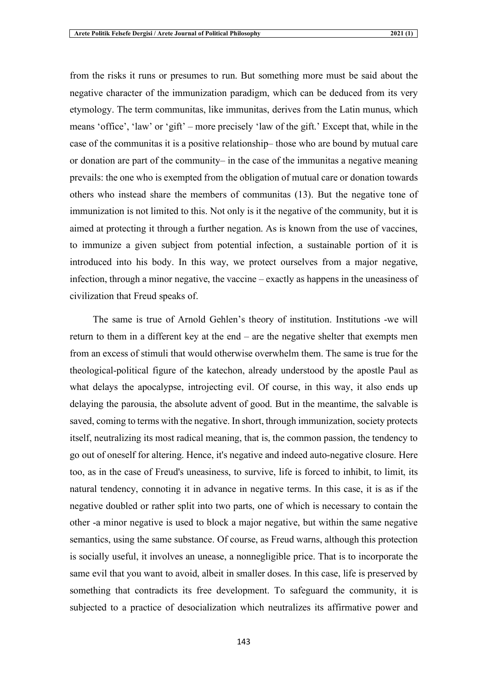from the risks it runs or presumes to run. But something more must be said about the negative character of the immunization paradigm, which can be deduced from its very etymology. The term communitas, like immunitas, derives from the Latin munus, which means 'office', 'law' or 'gift' – more precisely 'law of the gift.' Except that, while in the case of the communitas it is a positive relationship– those who are bound by mutual care or donation are part of the community– in the case of the immunitas a negative meaning prevails: the one who is exempted from the obligation of mutual care or donation towards others who instead share the members of communitas (13). But the negative tone of immunization is not limited to this. Not only is it the negative of the community, but it is aimed at protecting it through a further negation. As is known from the use of vaccines, to immunize a given subject from potential infection, a sustainable portion of it is introduced into his body. In this way, we protect ourselves from a major negative, infection, through a minor negative, the vaccine – exactly as happens in the uneasiness of civilization that Freud speaks of.

The same is true of Arnold Gehlen's theory of institution. Institutions -we will return to them in a different key at the end – are the negative shelter that exempts men from an excess of stimuli that would otherwise overwhelm them. The same is true for the theological-political figure of the katechon, already understood by the apostle Paul as what delays the apocalypse, introjecting evil. Of course, in this way, it also ends up delaying the parousia, the absolute advent of good. But in the meantime, the salvable is saved, coming to terms with the negative. In short, through immunization, society protects itself, neutralizing its most radical meaning, that is, the common passion, the tendency to go out of oneself for altering. Hence, it's negative and indeed auto-negative closure. Here too, as in the case of Freud's uneasiness, to survive, life is forced to inhibit, to limit, its natural tendency, connoting it in advance in negative terms. In this case, it is as if the negative doubled or rather split into two parts, one of which is necessary to contain the other -a minor negative is used to block a major negative, but within the same negative semantics, using the same substance. Of course, as Freud warns, although this protection is socially useful, it involves an unease, a nonnegligible price. That is to incorporate the same evil that you want to avoid, albeit in smaller doses. In this case, life is preserved by something that contradicts its free development. To safeguard the community, it is subjected to a practice of desocialization which neutralizes its affirmative power and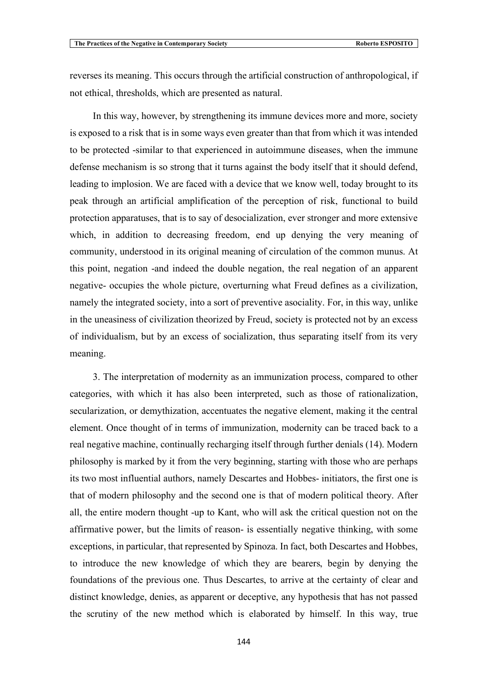reverses its meaning. This occurs through the artificial construction of anthropological, if not ethical, thresholds, which are presented as natural.

In this way, however, by strengthening its immune devices more and more, society is exposed to a risk that is in some ways even greater than that from which it was intended to be protected -similar to that experienced in autoimmune diseases, when the immune defense mechanism is so strong that it turns against the body itself that it should defend, leading to implosion. We are faced with a device that we know well, today brought to its peak through an artificial amplification of the perception of risk, functional to build protection apparatuses, that is to say of desocialization, ever stronger and more extensive which, in addition to decreasing freedom, end up denying the very meaning of community, understood in its original meaning of circulation of the common munus. At this point, negation -and indeed the double negation, the real negation of an apparent negative- occupies the whole picture, overturning what Freud defines as a civilization, namely the integrated society, into a sort of preventive asociality. For, in this way, unlike in the uneasiness of civilization theorized by Freud, society is protected not by an excess of individualism, but by an excess of socialization, thus separating itself from its very meaning.

3. The interpretation of modernity as an immunization process, compared to other categories, with which it has also been interpreted, such as those of rationalization, secularization, or demythization, accentuates the negative element, making it the central element. Once thought of in terms of immunization, modernity can be traced back to a real negative machine, continually recharging itself through further denials (14). Modern philosophy is marked by it from the very beginning, starting with those who are perhaps its two most influential authors, namely Descartes and Hobbes- initiators, the first one is that of modern philosophy and the second one is that of modern political theory. After all, the entire modern thought -up to Kant, who will ask the critical question not on the affirmative power, but the limits of reason- is essentially negative thinking, with some exceptions, in particular, that represented by Spinoza. In fact, both Descartes and Hobbes, to introduce the new knowledge of which they are bearers, begin by denying the foundations of the previous one. Thus Descartes, to arrive at the certainty of clear and distinct knowledge, denies, as apparent or deceptive, any hypothesis that has not passed the scrutiny of the new method which is elaborated by himself. In this way, true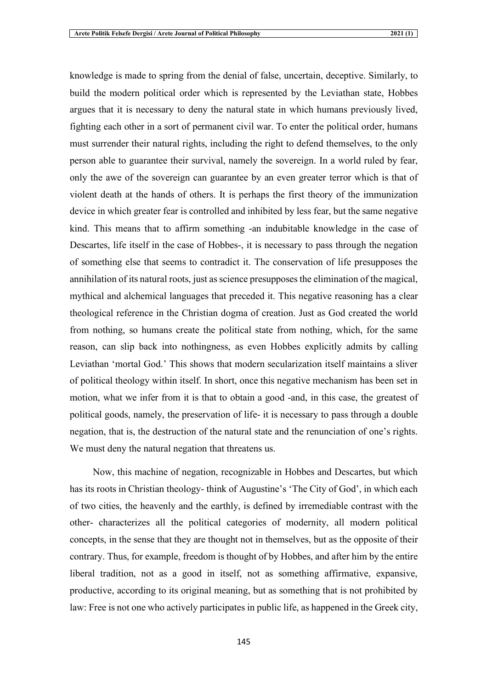knowledge is made to spring from the denial of false, uncertain, deceptive. Similarly, to build the modern political order which is represented by the Leviathan state, Hobbes argues that it is necessary to deny the natural state in which humans previously lived, fighting each other in a sort of permanent civil war. To enter the political order, humans must surrender their natural rights, including the right to defend themselves, to the only person able to guarantee their survival, namely the sovereign. In a world ruled by fear, only the awe of the sovereign can guarantee by an even greater terror which is that of violent death at the hands of others. It is perhaps the first theory of the immunization device in which greater fear is controlled and inhibited by less fear, but the same negative kind. This means that to affirm something -an indubitable knowledge in the case of Descartes, life itself in the case of Hobbes-, it is necessary to pass through the negation of something else that seems to contradict it. The conservation of life presupposes the annihilation of its natural roots, just as science presupposes the elimination of the magical, mythical and alchemical languages that preceded it. This negative reasoning has a clear theological reference in the Christian dogma of creation. Just as God created the world from nothing, so humans create the political state from nothing, which, for the same reason, can slip back into nothingness, as even Hobbes explicitly admits by calling Leviathan 'mortal God.' This shows that modern secularization itself maintains a sliver of political theology within itself. In short, once this negative mechanism has been set in motion, what we infer from it is that to obtain a good -and, in this case, the greatest of political goods, namely, the preservation of life- it is necessary to pass through a double negation, that is, the destruction of the natural state and the renunciation of one's rights. We must deny the natural negation that threatens us.

Now, this machine of negation, recognizable in Hobbes and Descartes, but which has its roots in Christian theology- think of Augustine's 'The City of God', in which each of two cities, the heavenly and the earthly, is defined by irremediable contrast with the other- characterizes all the political categories of modernity, all modern political concepts, in the sense that they are thought not in themselves, but as the opposite of their contrary. Thus, for example, freedom is thought of by Hobbes, and after him by the entire liberal tradition, not as a good in itself, not as something affirmative, expansive, productive, according to its original meaning, but as something that is not prohibited by law: Free is not one who actively participates in public life, as happened in the Greek city,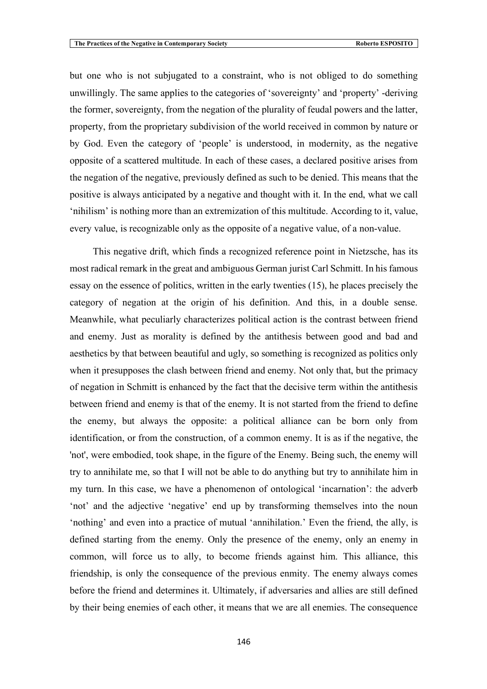but one who is not subjugated to a constraint, who is not obliged to do something unwillingly. The same applies to the categories of 'sovereignty' and 'property' -deriving the former, sovereignty, from the negation of the plurality of feudal powers and the latter, property, from the proprietary subdivision of the world received in common by nature or by God. Even the category of 'people' is understood, in modernity, as the negative opposite of a scattered multitude. In each of these cases, a declared positive arises from the negation of the negative, previously defined as such to be denied. This means that the positive is always anticipated by a negative and thought with it. In the end, what we call 'nihilism' is nothing more than an extremization of this multitude. According to it, value, every value, is recognizable only as the opposite of a negative value, of a non-value.

This negative drift, which finds a recognized reference point in Nietzsche, has its most radical remark in the great and ambiguous German jurist Carl Schmitt. In his famous essay on the essence of politics, written in the early twenties (15), he places precisely the category of negation at the origin of his definition. And this, in a double sense. Meanwhile, what peculiarly characterizes political action is the contrast between friend and enemy. Just as morality is defined by the antithesis between good and bad and aesthetics by that between beautiful and ugly, so something is recognized as politics only when it presupposes the clash between friend and enemy. Not only that, but the primacy of negation in Schmitt is enhanced by the fact that the decisive term within the antithesis between friend and enemy is that of the enemy. It is not started from the friend to define the enemy, but always the opposite: a political alliance can be born only from identification, or from the construction, of a common enemy. It is as if the negative, the 'not', were embodied, took shape, in the figure of the Enemy. Being such, the enemy will try to annihilate me, so that I will not be able to do anything but try to annihilate him in my turn. In this case, we have a phenomenon of ontological 'incarnation': the adverb 'not' and the adjective 'negative' end up by transforming themselves into the noun 'nothing' and even into a practice of mutual 'annihilation.' Even the friend, the ally, is defined starting from the enemy. Only the presence of the enemy, only an enemy in common, will force us to ally, to become friends against him. This alliance, this friendship, is only the consequence of the previous enmity. The enemy always comes before the friend and determines it. Ultimately, if adversaries and allies are still defined by their being enemies of each other, it means that we are all enemies. The consequence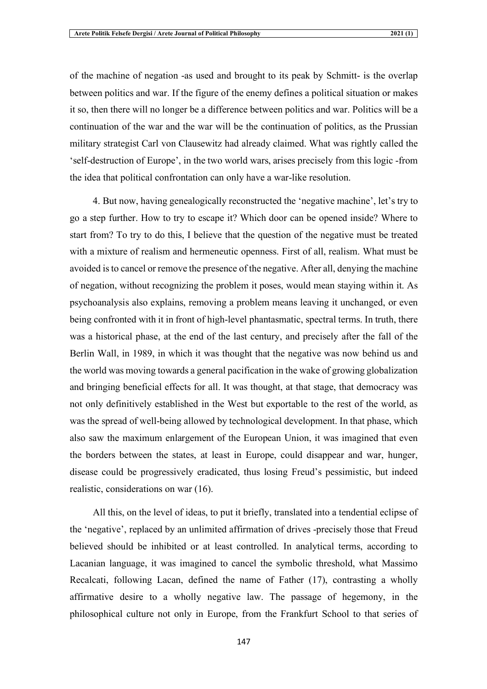of the machine of negation -as used and brought to its peak by Schmitt- is the overlap between politics and war. If the figure of the enemy defines a political situation or makes it so, then there will no longer be a difference between politics and war. Politics will be a continuation of the war and the war will be the continuation of politics, as the Prussian military strategist Carl von Clausewitz had already claimed. What was rightly called the 'self-destruction of Europe', in the two world wars, arises precisely from this logic -from the idea that political confrontation can only have a war-like resolution.

4. But now, having genealogically reconstructed the 'negative machine', let's try to go a step further. How to try to escape it? Which door can be opened inside? Where to start from? To try to do this, I believe that the question of the negative must be treated with a mixture of realism and hermeneutic openness. First of all, realism. What must be avoided is to cancel or remove the presence of the negative. After all, denying the machine of negation, without recognizing the problem it poses, would mean staying within it. As psychoanalysis also explains, removing a problem means leaving it unchanged, or even being confronted with it in front of high-level phantasmatic, spectral terms. In truth, there was a historical phase, at the end of the last century, and precisely after the fall of the Berlin Wall, in 1989, in which it was thought that the negative was now behind us and the world was moving towards a general pacification in the wake of growing globalization and bringing beneficial effects for all. It was thought, at that stage, that democracy was not only definitively established in the West but exportable to the rest of the world, as was the spread of well-being allowed by technological development. In that phase, which also saw the maximum enlargement of the European Union, it was imagined that even the borders between the states, at least in Europe, could disappear and war, hunger, disease could be progressively eradicated, thus losing Freud's pessimistic, but indeed realistic, considerations on war (16).

All this, on the level of ideas, to put it briefly, translated into a tendential eclipse of the 'negative', replaced by an unlimited affirmation of drives -precisely those that Freud believed should be inhibited or at least controlled. In analytical terms, according to Lacanian language, it was imagined to cancel the symbolic threshold, what Massimo Recalcati, following Lacan, defined the name of Father (17), contrasting a wholly affirmative desire to a wholly negative law. The passage of hegemony, in the philosophical culture not only in Europe, from the Frankfurt School to that series of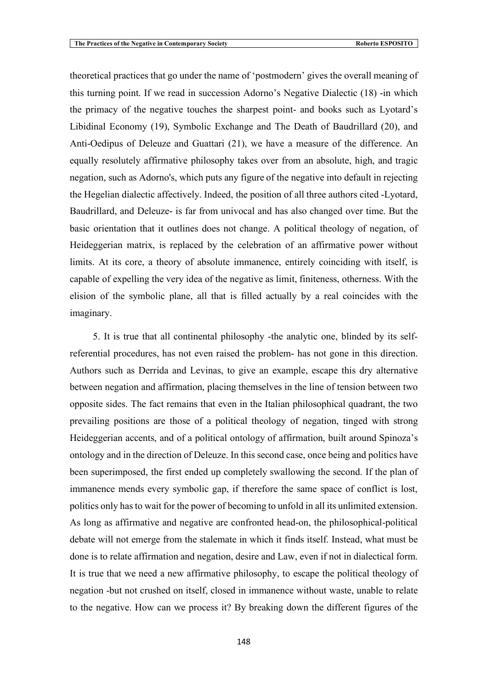theoretical practices that go under the name of 'postmodern' gives the overall meaning of this turning point. If we read in succession Adorno's Negative Dialectic (18) -in which the primacy of the negative touches the sharpest point- and books such as Lyotard's Libidinal Economy (19), Symbolic Exchange and The Death of Baudrillard (20), and Anti-Oedipus of Deleuze and Guattari (21), we have a measure of the difference. An equally resolutely affirmative philosophy takes over from an absolute, high, and tragic negation, such as Adorno's, which puts any figure of the negative into default in rejecting the Hegelian dialectic affectively. Indeed, the position of all three authors cited -Lyotard, Baudrillard, and Deleuze- is far from univocal and has also changed over time. But the basic orientation that it outlines does not change. A political theology of negation, of Heideggerian matrix, is replaced by the celebration of an affirmative power without limits. At its core, a theory of absolute immanence, entirely coinciding with itself, is capable of expelling the very idea of the negative as limit, finiteness, otherness. With the elision of the symbolic plane, all that is filled actually by a real coincides with the imaginary.

5. It is true that all continental philosophy -the analytic one, blinded by its selfreferential procedures, has not even raised the problem- has not gone in this direction. Authors such as Derrida and Levinas, to give an example, escape this dry alternative between negation and affirmation, placing themselves in the line of tension between two opposite sides. The fact remains that even in the Italian philosophical quadrant, the two prevailing positions are those of a political theology of negation, tinged with strong Heideggerian accents, and of a political ontology of affirmation, built around Spinoza's ontology and in the direction of Deleuze. In this second case, once being and politics have been superimposed, the first ended up completely swallowing the second. If the plan of immanence mends every symbolic gap, if therefore the same space of conflict is lost, politics only has to wait for the power of becoming to unfold in all its unlimited extension. As long as affirmative and negative are confronted head-on, the philosophical-political debate will not emerge from the stalemate in which it finds itself. Instead, what must be done is to relate affirmation and negation, desire and Law, even if not in dialectical form. It is true that we need a new affirmative philosophy, to escape the political theology of negation -but not crushed on itself, closed in immanence without waste, unable to relate to the negative. How can we process it? By breaking down the different figures of the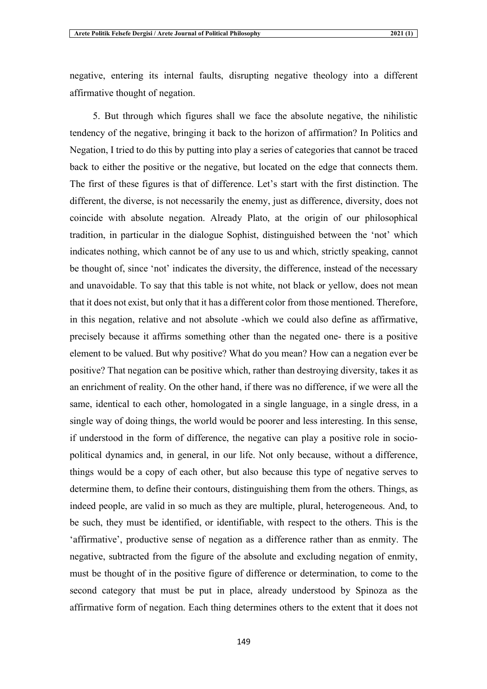negative, entering its internal faults, disrupting negative theology into a different affirmative thought of negation.

5. But through which figures shall we face the absolute negative, the nihilistic tendency of the negative, bringing it back to the horizon of affirmation? In Politics and Negation, I tried to do this by putting into play a series of categories that cannot be traced back to either the positive or the negative, but located on the edge that connects them. The first of these figures is that of difference. Let's start with the first distinction. The different, the diverse, is not necessarily the enemy, just as difference, diversity, does not coincide with absolute negation. Already Plato, at the origin of our philosophical tradition, in particular in the dialogue Sophist, distinguished between the 'not' which indicates nothing, which cannot be of any use to us and which, strictly speaking, cannot be thought of, since 'not' indicates the diversity, the difference, instead of the necessary and unavoidable. To say that this table is not white, not black or yellow, does not mean that it does not exist, but only that it has a different color from those mentioned. Therefore, in this negation, relative and not absolute -which we could also define as affirmative, precisely because it affirms something other than the negated one- there is a positive element to be valued. But why positive? What do you mean? How can a negation ever be positive? That negation can be positive which, rather than destroying diversity, takes it as an enrichment of reality. On the other hand, if there was no difference, if we were all the same, identical to each other, homologated in a single language, in a single dress, in a single way of doing things, the world would be poorer and less interesting. In this sense, if understood in the form of difference, the negative can play a positive role in sociopolitical dynamics and, in general, in our life. Not only because, without a difference, things would be a copy of each other, but also because this type of negative serves to determine them, to define their contours, distinguishing them from the others. Things, as indeed people, are valid in so much as they are multiple, plural, heterogeneous. And, to be such, they must be identified, or identifiable, with respect to the others. This is the 'affirmative', productive sense of negation as a difference rather than as enmity. The negative, subtracted from the figure of the absolute and excluding negation of enmity, must be thought of in the positive figure of difference or determination, to come to the second category that must be put in place, already understood by Spinoza as the affirmative form of negation. Each thing determines others to the extent that it does not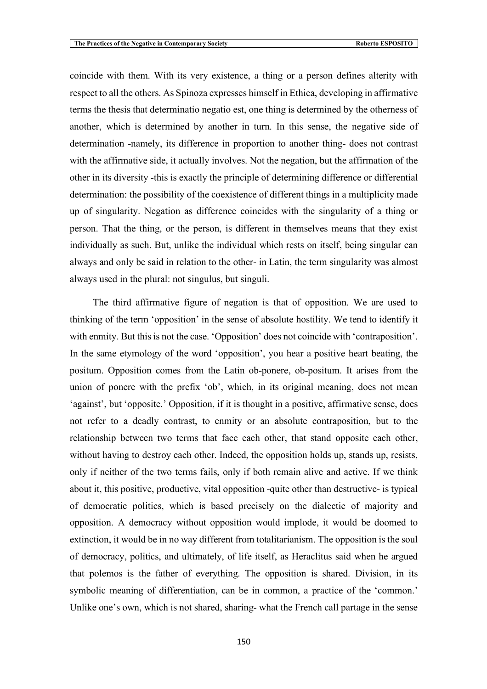coincide with them. With its very existence, a thing or a person defines alterity with respect to all the others. As Spinoza expresses himself in Ethica, developing in affirmative terms the thesis that determinatio negatio est, one thing is determined by the otherness of another, which is determined by another in turn. In this sense, the negative side of determination -namely, its difference in proportion to another thing- does not contrast with the affirmative side, it actually involves. Not the negation, but the affirmation of the other in its diversity -this is exactly the principle of determining difference or differential determination: the possibility of the coexistence of different things in a multiplicity made up of singularity. Negation as difference coincides with the singularity of a thing or person. That the thing, or the person, is different in themselves means that they exist individually as such. But, unlike the individual which rests on itself, being singular can always and only be said in relation to the other- in Latin, the term singularity was almost always used in the plural: not singulus, but singuli.

The third affirmative figure of negation is that of opposition. We are used to thinking of the term 'opposition' in the sense of absolute hostility. We tend to identify it with enmity. But this is not the case. 'Opposition' does not coincide with 'contraposition'. In the same etymology of the word 'opposition', you hear a positive heart beating, the positum. Opposition comes from the Latin ob-ponere, ob-positum. It arises from the union of ponere with the prefix 'ob', which, in its original meaning, does not mean 'against', but 'opposite.' Opposition, if it is thought in a positive, affirmative sense, does not refer to a deadly contrast, to enmity or an absolute contraposition, but to the relationship between two terms that face each other, that stand opposite each other, without having to destroy each other. Indeed, the opposition holds up, stands up, resists, only if neither of the two terms fails, only if both remain alive and active. If we think about it, this positive, productive, vital opposition -quite other than destructive- is typical of democratic politics, which is based precisely on the dialectic of majority and opposition. A democracy without opposition would implode, it would be doomed to extinction, it would be in no way different from totalitarianism. The opposition is the soul of democracy, politics, and ultimately, of life itself, as Heraclitus said when he argued that polemos is the father of everything. The opposition is shared. Division, in its symbolic meaning of differentiation, can be in common, a practice of the 'common.' Unlike one's own, which is not shared, sharing- what the French call partage in the sense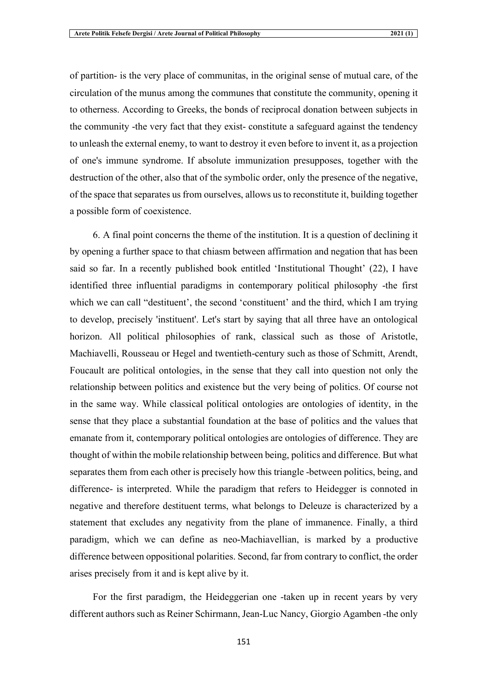of partition- is the very place of communitas, in the original sense of mutual care, of the circulation of the munus among the communes that constitute the community, opening it to otherness. According to Greeks, the bonds of reciprocal donation between subjects in the community -the very fact that they exist- constitute a safeguard against the tendency to unleash the external enemy, to want to destroy it even before to invent it, as a projection of one's immune syndrome. If absolute immunization presupposes, together with the destruction of the other, also that of the symbolic order, only the presence of the negative, of the space that separates us from ourselves, allows us to reconstitute it, building together a possible form of coexistence.

6. A final point concerns the theme of the institution. It is a question of declining it by opening a further space to that chiasm between affirmation and negation that has been said so far. In a recently published book entitled 'Institutional Thought' (22), I have identified three influential paradigms in contemporary political philosophy -the first which we can call "destituent", the second 'constituent' and the third, which I am trying to develop, precisely 'instituent'. Let's start by saying that all three have an ontological horizon. All political philosophies of rank, classical such as those of Aristotle, Machiavelli, Rousseau or Hegel and twentieth-century such as those of Schmitt, Arendt, Foucault are political ontologies, in the sense that they call into question not only the relationship between politics and existence but the very being of politics. Of course not in the same way. While classical political ontologies are ontologies of identity, in the sense that they place a substantial foundation at the base of politics and the values that emanate from it, contemporary political ontologies are ontologies of difference. They are thought of within the mobile relationship between being, politics and difference. But what separates them from each other is precisely how this triangle -between politics, being, and difference- is interpreted. While the paradigm that refers to Heidegger is connoted in negative and therefore destituent terms, what belongs to Deleuze is characterized by a statement that excludes any negativity from the plane of immanence. Finally, a third paradigm, which we can define as neo-Machiavellian, is marked by a productive difference between oppositional polarities. Second, far from contrary to conflict, the order arises precisely from it and is kept alive by it.

For the first paradigm, the Heideggerian one -taken up in recent years by very different authors such as Reiner Schirmann, Jean-Luc Nancy, Giorgio Agamben -the only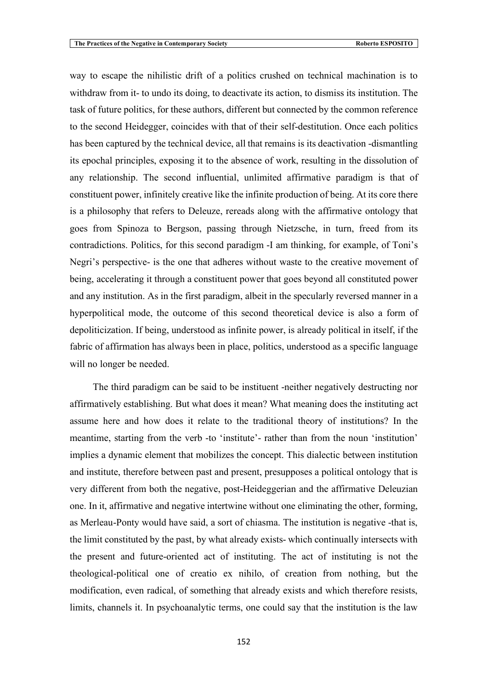way to escape the nihilistic drift of a politics crushed on technical machination is to withdraw from it- to undo its doing, to deactivate its action, to dismiss its institution. The task of future politics, for these authors, different but connected by the common reference to the second Heidegger, coincides with that of their self-destitution. Once each politics has been captured by the technical device, all that remains is its deactivation -dismantling its epochal principles, exposing it to the absence of work, resulting in the dissolution of any relationship. The second influential, unlimited affirmative paradigm is that of constituent power, infinitely creative like the infinite production of being. At its core there is a philosophy that refers to Deleuze, rereads along with the affirmative ontology that goes from Spinoza to Bergson, passing through Nietzsche, in turn, freed from its contradictions. Politics, for this second paradigm -I am thinking, for example, of Toni's Negri's perspective- is the one that adheres without waste to the creative movement of being, accelerating it through a constituent power that goes beyond all constituted power and any institution. As in the first paradigm, albeit in the specularly reversed manner in a hyperpolitical mode, the outcome of this second theoretical device is also a form of depoliticization. If being, understood as infinite power, is already political in itself, if the fabric of affirmation has always been in place, politics, understood as a specific language will no longer be needed.

The third paradigm can be said to be instituent -neither negatively destructing nor affirmatively establishing. But what does it mean? What meaning does the instituting act assume here and how does it relate to the traditional theory of institutions? In the meantime, starting from the verb -to 'institute'- rather than from the noun 'institution' implies a dynamic element that mobilizes the concept. This dialectic between institution and institute, therefore between past and present, presupposes a political ontology that is very different from both the negative, post-Heideggerian and the affirmative Deleuzian one. In it, affirmative and negative intertwine without one eliminating the other, forming, as Merleau-Ponty would have said, a sort of chiasma. The institution is negative -that is, the limit constituted by the past, by what already exists- which continually intersects with the present and future-oriented act of instituting. The act of instituting is not the theological-political one of creatio ex nihilo, of creation from nothing, but the modification, even radical, of something that already exists and which therefore resists, limits, channels it. In psychoanalytic terms, one could say that the institution is the law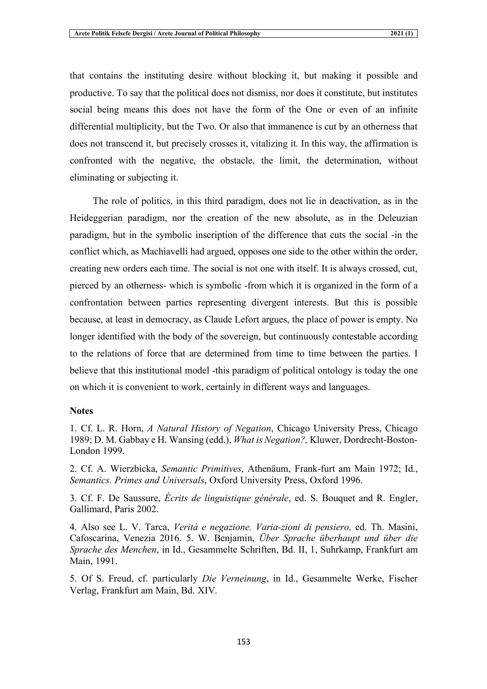that contains the instituting desire without blocking it, but making it possible and productive. To say that the political does not dismiss, nor does it constitute, but institutes social being means this does not have the form of the One or even of an infinite differential multiplicity, but the Two. Or also that immanence is cut by an otherness that does not transcend it, but precisely crosses it, vitalizing it. In this way, the affirmation is confronted with the negative, the obstacle, the limit, the determination, without eliminating or subjecting it.

The role of politics, in this third paradigm, does not lie in deactivation, as in the Heideggerian paradigm, nor the creation of the new absolute, as in the Deleuzian paradigm, but in the symbolic inscription of the difference that cuts the social -in the conflict which, as Machiavelli had argued, opposes one side to the other within the order, creating new orders each time. The social is not one with itself. It is always crossed, cut, pierced by an otherness- which is symbolic -from which it is organized in the form of a confrontation between parties representing divergent interests. But this is possible because, at least in democracy, as Claude Lefort argues, the place of power is empty. No longer identified with the body of the sovereign, but continuously contestable according to the relations of force that are determined from time to time between the parties. I believe that this institutional model -this paradigm of political ontology is today the one on which it is convenient to work, certainly in different ways and languages.

## **Notes**

1. Cf. L. R. Horn, *A Natural History of Negation*, Chicago University Press, Chicago 1989; D. M. Gabbay e H. Wansing (edd.), *What is Negation?,* Kluwer, Dordrecht-Boston-London 1999.

2. Cf. A. Wierzbicka, *Semantic Primitives*, Athenäum, Frank-furt am Main 1972; Id., *Semantics. Primes and Universals*, Oxford University Press, Oxford 1996.

3. Cf. F. De Saussure, *Écrits de linguistique générale*, ed. S. Bouquet and R. Engler, Gallimard, Paris 2002.

4. Also see L. V. Tarca, *Verità e negazione. Varia-zioni di pensiero,* ed. Th. Masini, Cafoscarina, Venezia 2016. 5. W. Benjamin, *Über Sprache überhaupt und über die Sprache des Menchen*, in Id., Gesammelte Schriften, Bd. II, 1, Suhrkamp, Frankfurt am Main, 1991.

5. Of S. Freud, cf. particularly *Die Verneinung*, in Id., Gesammelte Werke, Fischer Verlag, Frankfurt am Main, Bd. XIV.